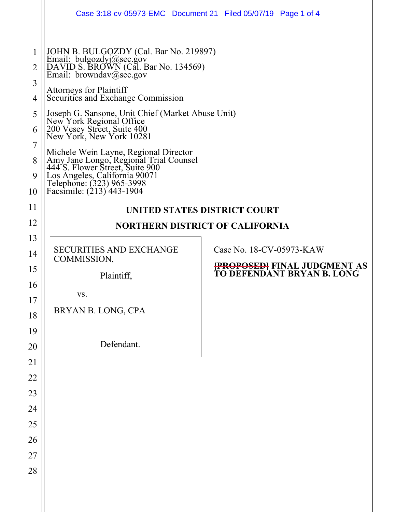| 1<br>$\overline{2}$<br>3<br>4<br>5<br>6<br>7<br>8<br>9<br>10 | Case 3:18-cv-05973-EMC  Document 21  Filed 05/07/19  Page 1 of 4<br>JOHN B. BULGOZDY (Cal. Bar No. 219897)<br>Email: bulgozdyj@sec.gov<br>DAVID S. BROWN (Cal. Bar No. 134569)<br>Email: browndav@sec.gov<br><b>Attorneys for Plaintiff</b><br>Securities and Exchange Commission<br>Joseph G. Sansone, Unit Chief (Market Abuse Unit)<br>New York Regional Office<br>200 Vesey Street, Suite 400<br>New York, New York 10281<br>Michele Wein Layne, Regional Director<br>Amy Jane Longo, Regional Trial Counsel<br>444'S. Flower Street, Suite 900<br>Los Angeles, California 90071<br>Telephone: (323) 965-3998 |                                                                                                                                                                                                       |  |
|--------------------------------------------------------------|-------------------------------------------------------------------------------------------------------------------------------------------------------------------------------------------------------------------------------------------------------------------------------------------------------------------------------------------------------------------------------------------------------------------------------------------------------------------------------------------------------------------------------------------------------------------------------------------------------------------|-------------------------------------------------------------------------------------------------------------------------------------------------------------------------------------------------------|--|
|                                                              |                                                                                                                                                                                                                                                                                                                                                                                                                                                                                                                                                                                                                   |                                                                                                                                                                                                       |  |
| 11<br>12                                                     | UNITED STATES DISTRICT COURT                                                                                                                                                                                                                                                                                                                                                                                                                                                                                                                                                                                      |                                                                                                                                                                                                       |  |
| 13                                                           |                                                                                                                                                                                                                                                                                                                                                                                                                                                                                                                                                                                                                   | Facsimile: (213) 443-1904<br><b>NORTHERN DISTRICT OF CALIFORNIA</b><br>Case No. 18-CV-05973-KAW<br>COMMISSION,<br><del> PROPOSED </del> FINAL JUDGMENT AS<br>TO DEFENDANT BRYAN B. LONG<br>Plaintiff, |  |
| 14                                                           | <b>SECURITIES AND EXCHANGE</b>                                                                                                                                                                                                                                                                                                                                                                                                                                                                                                                                                                                    |                                                                                                                                                                                                       |  |
| 15                                                           |                                                                                                                                                                                                                                                                                                                                                                                                                                                                                                                                                                                                                   |                                                                                                                                                                                                       |  |
| 16                                                           |                                                                                                                                                                                                                                                                                                                                                                                                                                                                                                                                                                                                                   |                                                                                                                                                                                                       |  |
| 17                                                           | VS.                                                                                                                                                                                                                                                                                                                                                                                                                                                                                                                                                                                                               |                                                                                                                                                                                                       |  |
| 18                                                           | BRYAN B. LONG, CPA                                                                                                                                                                                                                                                                                                                                                                                                                                                                                                                                                                                                |                                                                                                                                                                                                       |  |
| 19                                                           |                                                                                                                                                                                                                                                                                                                                                                                                                                                                                                                                                                                                                   |                                                                                                                                                                                                       |  |
| 20                                                           | Defendant.                                                                                                                                                                                                                                                                                                                                                                                                                                                                                                                                                                                                        |                                                                                                                                                                                                       |  |
| 21                                                           |                                                                                                                                                                                                                                                                                                                                                                                                                                                                                                                                                                                                                   |                                                                                                                                                                                                       |  |
| 22                                                           |                                                                                                                                                                                                                                                                                                                                                                                                                                                                                                                                                                                                                   |                                                                                                                                                                                                       |  |
| 23<br>24                                                     |                                                                                                                                                                                                                                                                                                                                                                                                                                                                                                                                                                                                                   |                                                                                                                                                                                                       |  |
| 25                                                           |                                                                                                                                                                                                                                                                                                                                                                                                                                                                                                                                                                                                                   |                                                                                                                                                                                                       |  |
| 26                                                           |                                                                                                                                                                                                                                                                                                                                                                                                                                                                                                                                                                                                                   |                                                                                                                                                                                                       |  |
| 27                                                           |                                                                                                                                                                                                                                                                                                                                                                                                                                                                                                                                                                                                                   |                                                                                                                                                                                                       |  |
| 28                                                           |                                                                                                                                                                                                                                                                                                                                                                                                                                                                                                                                                                                                                   |                                                                                                                                                                                                       |  |
|                                                              |                                                                                                                                                                                                                                                                                                                                                                                                                                                                                                                                                                                                                   |                                                                                                                                                                                                       |  |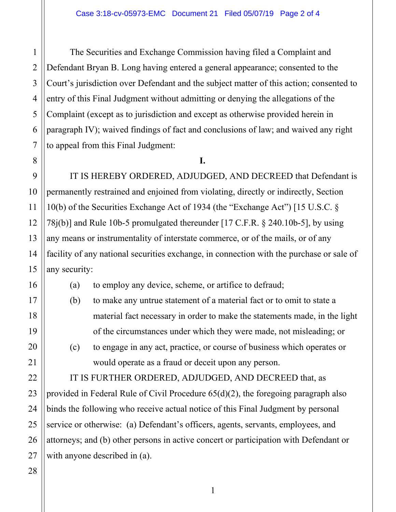1

The Securities and Exchange Commission having filed a Complaint and Defendant Bryan B. Long having entered a general appearance; consented to the Court's jurisdiction over Defendant and the subject matter of this action; consented to entry of this Final Judgment without admitting or denying the allegations of the Complaint (except as to jurisdiction and except as otherwise provided herein in paragraph IV); waived findings of fact and conclusions of law; and waived any right to appeal from this Final Judgment:

#### **I.**

IT IS HEREBY ORDERED, ADJUDGED, AND DECREED that Defendant is permanently restrained and enjoined from violating, directly or indirectly, Section 10(b) of the Securities Exchange Act of 1934 (the "Exchange Act") [15 U.S.C. § 78j(b)] and Rule 10b-5 promulgated thereunder [17 C.F.R. § 240.10b-5], by using any means or instrumentality of interstate commerce, or of the mails, or of any facility of any national securities exchange, in connection with the purchase or sale of any security:

(a) to employ any device, scheme, or artifice to defraud;

- (b) to make any untrue statement of a material fact or to omit to state a material fact necessary in order to make the statements made, in the light of the circumstances under which they were made, not misleading; or
- (c) to engage in any act, practice, or course of business which operates or would operate as a fraud or deceit upon any person.

IT IS FURTHER ORDERED, ADJUDGED, AND DECREED that, as provided in Federal Rule of Civil Procedure 65(d)(2), the foregoing paragraph also binds the following who receive actual notice of this Final Judgment by personal service or otherwise: (a) Defendant's officers, agents, servants, employees, and attorneys; and (b) other persons in active concert or participation with Defendant or with anyone described in (a).

1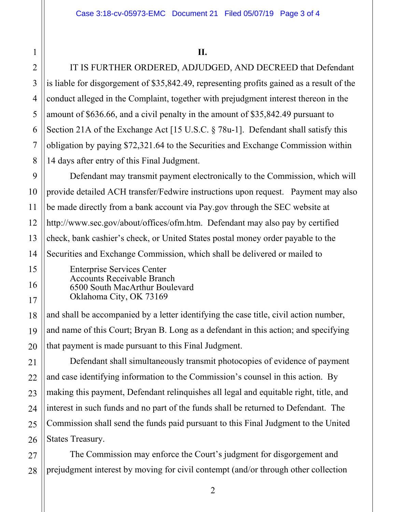IT IS FURTHER ORDERED, ADJUDGED, AND DECREED that Defendant is liable for disgorgement of \$35,842.49, representing profits gained as a result of the conduct alleged in the Complaint, together with prejudgment interest thereon in the amount of \$636.66, and a civil penalty in the amount of \$35,842.49 pursuant to Section 21A of the Exchange Act [15 U.S.C. § 78u-1]. Defendant shall satisfy this obligation by paying \$72,321.64 to the Securities and Exchange Commission within 14 days after entry of this Final Judgment.

Defendant may transmit payment electronically to the Commission, which will provide detailed ACH transfer/Fedwire instructions upon request. Payment may also be made directly from a bank account via Pay.gov through the SEC website at http://www.sec.gov/about/offices/ofm.htm. Defendant may also pay by certified check, bank cashier's check, or United States postal money order payable to the Securities and Exchange Commission, which shall be delivered or mailed to

Enterprise Services Center Accounts Receivable Branch 6500 South MacArthur Boulevard Oklahoma City, OK 73169

and shall be accompanied by a letter identifying the case title, civil action number, and name of this Court; Bryan B. Long as a defendant in this action; and specifying that payment is made pursuant to this Final Judgment.

Defendant shall simultaneously transmit photocopies of evidence of payment and case identifying information to the Commission's counsel in this action. By making this payment, Defendant relinquishes all legal and equitable right, title, and interest in such funds and no part of the funds shall be returned to Defendant. The Commission shall send the funds paid pursuant to this Final Judgment to the United States Treasury.

The Commission may enforce the Court's judgment for disgorgement and prejudgment interest by moving for civil contempt (and/or through other collection